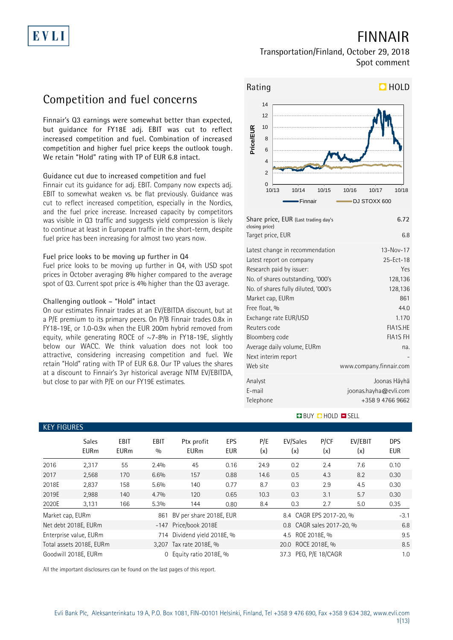# **FINNAIR**

### **Transportation/Finland, October 29, 2018 Spot comment**

## **Competition and fuel concerns**

**Finnair's Q3 earnings were somewhat better than expected, but guidance for FY18E adj. EBIT was cut to reflect increased competition and fuel. Combination of increased competition and higher fuel price keeps the outlook tough. We retain "Hold" rating with TP of EUR 6.8 intact.**

#### **Guidance cut due to increased competition and fuel**

Finnair cut its guidance for adj. EBIT. Company now expects adj. EBIT to somewhat weaken vs. be flat previously. Guidance was cut to reflect increased competition, especially in the Nordics, and the fuel price increase. Increased capacity by competitors was visible in Q3 traffic and suggests yield compression is likely to continue at least in European traffic in the short-term, despite fuel price has been increasing for almost two years now.

#### **Fuel price looks to be moving up further in Q4**

Fuel price looks to be moving up further in Q4, with USD spot prices in October averaging 8% higher compared to the average spot of Q3. Current spot price is 4% higher than the Q3 average.

#### **Challenging outlook – "Hold" intact**

**KEY FIGURES**

On our estimates Finnair trades at an EV/EBITDA discount, but at a P/E premium to its primary peers. On P/B Finnair trades 0.8x in FY18-19E, or 1.0-0.9x when the EUR 200m hybrid removed from equity, while generating ROCE of  $\sim$ 7-8% in FY18-19E, slightly below our WACC. We think valuation does not look too attractive, considering increasing competition and fuel. We retain "Hold" rating with TP of EUR 6.8. Our TP values the shares at a discount to Finnair's 3yr historical average NTM EV/EBITDA, but close to par with P/E on our FY19E estimates.



| Share price, EUR (Last trading day's<br>closing price) | 6.72                    |
|--------------------------------------------------------|-------------------------|
| Target price, EUR                                      | 6.8                     |
| Latest change in recommendation                        | 13-Nov-17               |
| Latest report on company                               | $25 - Ect - 18$         |
| Research paid by issuer:                               | Yes.                    |
| No. of shares outstanding, '000's                      | 128,136                 |
| No. of shares fully diluted, '000's                    | 128,136                 |
| Market cap, EURm                                       | 861                     |
| Free float, %                                          | 44 <sub>0</sub>         |
| Exchange rate EUR/USD                                  | 1 1 7 0                 |
| Reuters code                                           | FIA1S.HE                |
| Bloomberg code                                         | <b>FIA1S FH</b>         |
| Average daily volume, EURm                             | na.                     |
| Next interim report                                    |                         |
| Web site                                               | www.company.finnair.com |
| Analyst                                                | Joonas Häyhä            |
| E-mail                                                 | joonas.hayha@evli.com   |
| Telephone                                              | +358 9 4766 9662        |
|                                                        |                         |

#### **BUY OHOLD OSELL**

| NET FIUUNES      |                             |                            |                    |                             |                   |            |                           |             |                |                          |
|------------------|-----------------------------|----------------------------|--------------------|-----------------------------|-------------------|------------|---------------------------|-------------|----------------|--------------------------|
|                  | <b>Sales</b><br><b>EURm</b> | <b>EBIT</b><br><b>EURm</b> | <b>EBIT</b><br>0/0 | Ptx profit<br><b>EURm</b>   | <b>EPS</b><br>EUR | P/E<br>(x) | EV/Sales<br>(x)           | P/CF<br>(x) | EV/EBIT<br>(x) | <b>DPS</b><br><b>EUR</b> |
| 2016             | 2,317                       | 55                         | 2.4%               | 45                          | 0.16              | 24.9       | 0.2                       | 2.4         | 7.6            | 0.10                     |
| 2017             | 2,568                       | 170                        | 6.6%               | 157                         | 0.88              | 14.6       | 0.5                       | 4.3         | 8.2            | 0.30                     |
| 2018E            | 2,837                       | 158                        | 5.6%               | 140                         | 0.77              | 8.7        | 0.3                       | 2.9         | 4.5            | 0.30                     |
| 2019E            | 2,988                       | 140                        | $4.7\%$            | 120                         | 0.65              | 10.3       | 0.3                       | 3.1         | 5.7            | 0.30                     |
| 2020E            | 3,131                       | 166                        | 5.3%               | 144                         | 0.80              | 8.4        | 0.3                       | 2.7         | 5.0            | 0.35                     |
| Market cap, EURm |                             |                            | 861                | BV per share 2018E, EUR     |                   |            | 8.4 CAGR EPS 2017-20, %   |             |                | $-3.1$                   |
|                  | Net debt 2018E, EURm        |                            |                    | -147 Price/book 2018E       |                   |            | 0.8 CAGR sales 2017-20, % |             |                | 6.8                      |
|                  | Enterprise value, EURm      |                            |                    | 714 Dividend yield 2018E, % |                   |            | 4.5 ROE 2018E, %          |             |                | 9.5                      |
|                  | Total assets 2018E, EURm    |                            |                    | 3,207 Tax rate 2018E, %     |                   |            | 20.0 ROCE 2018E, %        |             |                | 8.5                      |
|                  | Goodwill 2018E, EURm        |                            | $\Omega$           | Equity ratio 2018E, %       |                   |            | 37.3 PEG, P/E 18/CAGR     |             |                | 1.0                      |
|                  |                             |                            |                    |                             |                   |            |                           |             |                |                          |

All the important disclosures can be found on the last pages of this report.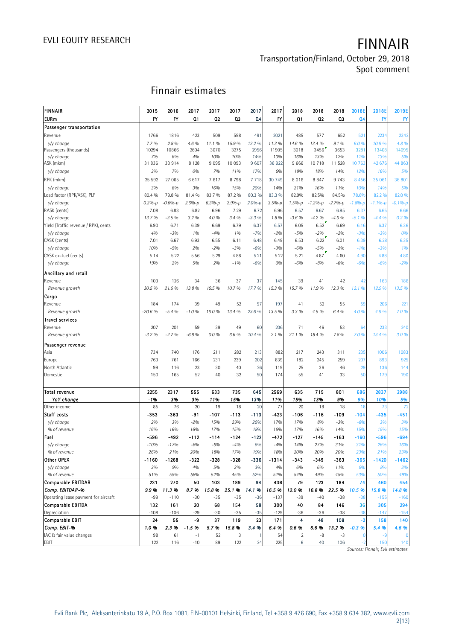### **Transportation/Finland, October 29, 2018 Spot comment**

## **Finnair estimates**

|                                      |             | Finnair estimates |                |             |             |                |              |                |                |              |                |              |              |
|--------------------------------------|-------------|-------------------|----------------|-------------|-------------|----------------|--------------|----------------|----------------|--------------|----------------|--------------|--------------|
| FINNAIR                              |             |                   |                |             |             |                |              |                |                |              |                |              |              |
|                                      | 2015        | 2016              | 2017           | 2017        | 2017        | 2017           | 2017         | 2018           | 2018           | 2018         | 2018E          | 2018E        | 2019E        |
| <b>EURm</b>                          | FY          | FY                | Q <sub>1</sub> | 02          | Q3          | Q <sub>4</sub> | FY           | Q <sub>1</sub> | 02             | Q3           | Q <sub>4</sub> | FY           | <b>FY</b>    |
| Passenger transportation             |             |                   |                |             |             |                |              |                |                |              |                |              |              |
| Revenue                              | 1766        | 1816              | 423            | 509         | 598         | 491            | 2021         | 485            | 577            | 652          | 521            | 2234         | 2342         |
| y/y change<br>Passengers (thousands) | 7.7%        | 2.8%              | 4.6 %          | 11.1%       | 15.9%       | 12.2 %         | 11.3%        | 14.6 %         | 13.4 %<br>3456 | 9.1%         | 6.0%           | 10.6 %       | 4.8%         |
| v/v change                           | 10294<br>7% | 10866<br>6%       | 2604<br>4%     | 3070<br>10% | 3275<br>10% | 2956<br>14%    | 11905<br>10% | 3018<br>16%    | 13%            | 3653<br>12%  | 3281<br>11%    | 13408<br>13% | 14095<br>5%  |
| ASK (mkm)                            | 31836       | 33914             | 8 1 2 8        | 9095        | 10 093      | 9 607          | 36922        | 9666           | 10718          | 11 528       | 10 763         | 42 676       | 44 863       |
| v/v change                           | 3%          | 7%                | 0%             | 7%          | 11%         | 17%            | 9%           | 19%            | 18%            | 14%          | 12%            | 16%          | 5%           |
| RPK (mkm)                            | 25 5 9 2    | 27 065            | 6617           | 7617        | 8798        | 7718           | 30 749       | 8016           | 8847           | 9 7 4 3      | 8 4 5 6        | 35 061       | 36 801       |
| y/y change                           | 3%          | 6%                | 3%             | 16%         | 15%         | 20%            | 14%          | 21%            | 16%            | 11%          | 10%            | 14%          | 5%           |
| Load factor (RPK/ASK), PLF           | 80.4 %      | 79.8 %            | 81.4 %         | 83.7 %      | 87.2 %      | 80.3 %         | 83.3 %       | 82.9%          | 82.5%          | 84.5%        | 78.6%          | 82.2 %       | 82.0 %       |
| y/y change                           | $0.2%-p$    | $-0.6%-p$         | $2.6%-p$       | $6.3%-p$    | $2.9% - p$  | $2.0%-p$       | $3.5% - p$   | $1.5%-p$       | $-1.2%-p$      | $-2.7% - p$  | $-1.8%-p$      | $-1.1% - p$  | $-0.1%-p$    |
| RASK (cents)                         | 7.08        | 6.83              | 6.82           | 6.96        | 7.29        | 6.72           | 6.96         | 6.57           | 6.67           | 6.95         | 6.37           | 6.65         | 6.66         |
| y/y change                           | 13.7%       | $-3.5%$           | 3.2 %          | 4.0 %       | 3.4 %       | $-3.3%$        | 1.8%         | $-3.6%$        | $-4.2%$        | $-4.6%$      | $-5.1%$        | $-4.4%$      | 0.2 %        |
| Yield (Traffic revenue / RPK), cents | 6.90        | 6.71              | 6.39           | 6.69        | 6.79        | 6.37           | 6.57         | 6.05           | 6.52           | 6.69         | 6.16           | 6.37         | 6.36         |
| v/v change                           | 4%          | $-3%$             | 1%             | $-4%$       | 1%          | $-7%$          | $-2%$        | $-5%$          | $-2%$          | $-2%$        | $-3%$          | $-3%$        | 0%           |
| CASK (cents)                         | 7.01        | 6.67              | 6.93           | 6.55        | 6.11        | 6.48           | 6.49         | 6.53           | 6.22           | 6.01         | 6.39           | 6.28         | 6.35         |
| y/y change                           | 10%         | $-5%$             | 2%             | $-2%$       | $-3%$       | $-6%$          | $-3%$        | $-6%$          | $-5%$          | $-2%$        | $-1%$          | $-3%$        | 1%           |
| CASK ex-fuel (cents)                 | 5.14        | 5.22              | 5.56           | 5.29        | 4.88        | 5.21           | 5.22         | 5.21           | 4.87           | 4.60         | 4.90           | 4.88         | 4.80         |
| y/y change                           | 19%         | 2%                | 5%             | 2%          | $-1%$       | $-6%$          | 0%           | $-6%$          | $-8%$          | $-6%$        | $-6%$          | $-6%$        | $-2%$        |
| Ancillary and retail                 |             |                   |                |             |             |                |              |                |                |              |                |              |              |
| Revenue                              | 103         | 126               | 34             | 36          | 37          | 37             | 145          | 39             | 41             | 42           | 42             | 163          | 186          |
| Revenue growth                       | 30.5 %      | 21.6 %            | 13.8%          | 19.5 %      | 10.7%       | 17.7%          | 15.3 %       | 15.7%          | 11.9%          | 12.3 %       | 12.1%          | 12.9%        | 13.5 %       |
| Cargo                                |             |                   |                |             |             |                |              |                |                |              |                |              |              |
| Revenue                              | 184         | 174               | 39             | 49          | 52          | 57             | 197          | 41             | 52             | 55           | 59             | 206          | 221          |
| Revenue growth                       | $-20.6%$    | $-5.4%$           | $-1.0%$        | 16.0%       | 13.4 %      | 23.6 %         | 13.5 %       | 3.3 %          | 4.5 %          | 6.4%         | 4.0 %          | 4.6 %        | 7.0%         |
| <b>Travel services</b>               |             |                   |                |             |             |                |              |                |                |              |                |              |              |
| Revenue                              | 207         | 201               | 59             | 39          | 49          | 60             | 206          | 71             | 46             | 53           | 64             | 233          | 240          |
| Revenue growth                       | $-3.2%$     | $-2.7%$           | $-6.8%$        | 0.0%        | 6.6 %       | 10.4 %         | 2.1%         | 21.1%          | 18.4 %         | 7.8%         | 7.0%           | 13.4 %       | 3.0%         |
| Passenger revenue                    |             |                   |                |             |             |                |              |                |                |              |                |              |              |
| Asia                                 | 734         | 740               | 176            | 211         | 282         | 213            | 882          | 217            | 243            | 311          | 235            | 1006         | 1083         |
| Europe                               | 763         | 761               | 166            | 231         | 239         | 202            | 839          | 182            | 245            | 259          | 207            | 893          | 925          |
| North Atlantic                       | 99          | 116               | 23             | 30          | 40          | 26             | 119          | 25             | 36             | 46           | 29             | 136          | 144          |
| Domestic                             | 150         | 165               | 52             | 40          | 32          | 50             | 174          | 55             | 41             | 33           | 50             | 179          | 190          |
|                                      |             |                   |                |             |             |                |              |                |                |              |                |              |              |
| Total revenue                        | 2255        | 2317              | 555            | 633         | 735         | 645            | 2569         | 635            | 715            | 801          | 686            | 2837         | 2988         |
| YoY change                           | $-1%$       | 3%                | 3%             | 11%         | 15%         | 13%            | 11%          | 15%            | 13%            | 9%           | 6%             | 10%          | 5%           |
| Other income                         | 85          | 76                | 20             | 19          | 18          | 20             | 77           | 20             | 18             | 18           | 18             | 73           | 72           |
| Staff costs                          | -353<br>2%  | -363              | -91            | -107        | -113        | -113           | -423         | -106           | -116           | -109         | -104           | -435<br>3%   | $-451$<br>3% |
| y/y change<br>% of revenue           | 16%         | 3%<br>16%         | $-2%$<br>16%   | 15%<br>17%  | 29%<br>15%  | 25%<br>18%     | 17%<br>16%   | 17%<br>17%     | 8%<br>16%      | $-3%$<br>14% | $-8%$<br>15%   | 15%          | 15%          |
| Fuel                                 | -596        | -492              | $-112$         | $-114$      | $-124$      | $-122$         | -472         | $-127$         | $-145$         | -163         | $-160$         | -596         | $-694$       |
| y/y change                           | $-10%$      | $-17%$            | $-8%$          | $-9%$       | $-4%$       | 6%             | $-4%$        | 14%            | 27%            | 31%          | 31%            | 26%          | 16%          |
| % of revenue                         | 26%         | 21%               | 20%            | 18%         | 17%         | 19%            | 18%          | 20%            | 20%            | 20%          | 23%            | 21%          | 23%          |
| Other OPEX                           | $-1160$     | $-1268$           | -322           | -328        | -328        | $-336$         | $-1314$      | $-343$         | $-349$         | -363         | $-365$         | $-1420$      | $-1462$      |
| v/v change                           | 3%          | 9%                | 4%             | 5%          | 2%          | 3%             | 4%           | 6%             | 6%             | 11%          | 9%             | 8%           | 3%           |
| % of revenue                         | 51%         | 55%               | 58%            | 52%         | 45%         | 52%            | 51%          | 54%            | 49%            | 45%          | <b>53%</b>     | <b>50%</b>   | 49%          |
| <b>Comparable EBITDAR</b>            | 231         | 270               | 50             | 103         | 189         | 94             | 436          | 79             | 123            | 184          | 74             | 460          | 454          |
| Comp. EBITDAR-%                      | 9.9%        | 11.3 %            | 8.7%           | 15.8%       | 25.1%       | 14.1 %         | 16.5%        | 12.0%          | 16.8%          | 22.5 %       | 10.5 %         | 15.8 %       | 14.8 %       |
| Operating lease payment for aircraft | $-99$       | $-110$            | $-30$          | $-35$       | $-35$       | $-36$          | $-137$       | $-39$          | $-40$          | $-38$        | $-38$          | $-155$       | $-160$       |
| <b>Comparable EBITDA</b>             | 132         | 161               | 20             | 68          | 154         | 58             | 300          | 40             | 84             | 146          | 36             | 305          | 294          |
| Depreciation                         | $-108$      | $-106$            | $-29$          | $-30$       | $-35$       | $-35$          | $-129$       | $-36$          | $-36$          | $-38$        | $-38$          | $-147$       | $-154$       |
| Comparable EBIT                      | 24          | 55                | -9             | 37          | 119         | 23             | 171          | 4              | 48             | 108          | $-2$           | 158          | 140          |
| Comp. EBIT-%                         | 1.0%        | 2.3%              | $-1.5%$        | 5.7%        | 15.8%       | 3.4 %          | 6.4%         | 0.6%           | 6.6%           | 13.2 %       | $-0.3%$        | 5.4 %        | 4.6 %        |
| IAC & fair value changes             | 98          | 61                | $-1$           | 52          | 3           |                | 54           | $\overline{2}$ | -8             | $-3$         | $\overline{0}$ | $-9$         |              |
| EBIT                                 | 122         | 116               | $-10$          | 89          | 122         | 24             | 225          | 6              | 40             | 106          |                | 150          | 140          |

*Sources: Finnair, Evli estimates*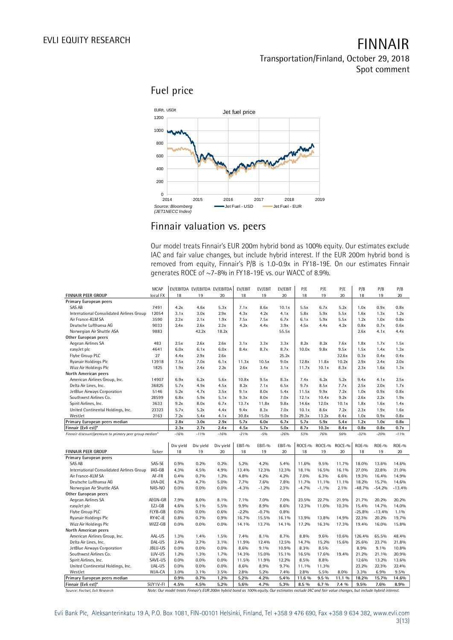**Fuel price**



### **Finnair valuation vs. peers**

Our model treats Finnair's EUR 200m hybrid bond as 100% equity. Our estimates exclude IAC and fair value changes, but include hybrid interest. If the EUR 200m hybrid bond is generates ROCE of ~7-8% in FY18-19E vs. our WACC of 8.9%.

|                                                        |             | removed from equity, Finnair's P/B is 1.0-0.9x in FY18-19E. On our estimates Finnair                                                                         |                               |           |         |         |         |         |         |        |          |          |              |
|--------------------------------------------------------|-------------|--------------------------------------------------------------------------------------------------------------------------------------------------------------|-------------------------------|-----------|---------|---------|---------|---------|---------|--------|----------|----------|--------------|
|                                                        |             | generates ROCE of ~7-8% in FY18-19E vs. our WACC of 8.9%.                                                                                                    |                               |           |         |         |         |         |         |        |          |          |              |
|                                                        |             |                                                                                                                                                              |                               |           |         |         |         |         |         |        |          |          |              |
|                                                        |             |                                                                                                                                                              |                               |           |         |         |         |         |         |        |          |          |              |
|                                                        | <b>MCAP</b> |                                                                                                                                                              | EV/EBITDA EV/EBITDA EV/EBITDA |           | EV/EBIT | EV/EBIT | EV/EBIT | P/E     | P/E     | P/E    | P/B      | P/B      | P/B          |
| FINNAIR PEER GROUP                                     | local FX    | 18                                                                                                                                                           | 19                            | 20        | 18      | 19      | 20      | 18      | 19      | 20     | 18       | 19       | 20           |
| Primary European peers                                 |             |                                                                                                                                                              |                               |           |         |         |         |         |         |        |          |          |              |
| SAS AB                                                 | 7491        | 4.2x                                                                                                                                                         | 4.6x                          | 5.3x      | 7.1x    | 8.6x    | 10.1x   | 5.5x    | 6.7x    | 5.2x   | 1.0x     | 0.9x     | 0.8x         |
| International Consolidated Airlines Group              | 12054       | 3.1x                                                                                                                                                         | 3.0x                          | 2.9x      | 4.3x    | 4.2x    | 4.1x    | 5.8x    | 5.9x    | 5.5x   | 1.6x     | 1.3x     | 1.2x         |
| Air France-KLM SA                                      | 3590        | 2.3x                                                                                                                                                         | 2.1x                          | 1.9x      | 7.5x    | 7.5x    | 6.7x    | 6.1x    | 5.9x    | 5.5x   | 1.2x     | 1.0x     | 0.8x         |
| Deutsche Lufthansa AG                                  | 9033        | 2.4x                                                                                                                                                         | 2.6x                          | 2.3x      | 4.2x    | 4.4x    | 3.9x    | 4.5x    | 4.4x    | 4.2x   | 0.8x     | 0.7x     | 0.6x         |
| Norwegian Air Shuttle ASA                              | 9883        |                                                                                                                                                              | 42.2x                         | 18.2x     |         |         | 55.5x   |         |         |        | 2.6x     | 4.1x     | 4.4x         |
| Other European peers                                   |             |                                                                                                                                                              |                               |           |         |         |         |         |         |        |          |          |              |
| Aegean Airlines SA                                     | 483         | 2.5x                                                                                                                                                         | 2.6x                          | 2.6x      | 3.1x    | 3.3x    | 3.3x    | 8.2x    | 8.2x    | 7.6x   | 1.8x     | 1.7x     | 1.5x         |
| easyJet plc                                            | 4641        | 6.0x                                                                                                                                                         | 6.1x                          | 6.0x      | 8.4x    | 8.7x    | 8.7x    | 10.0x   | 9.8x    | 9.5x   | 1.5x     | 1.4x     | 1.3x         |
| Flybe Group PLC                                        | 27          | 4.4x                                                                                                                                                         | 2.9x                          | 2.6x      |         |         | 25.2x   |         |         | 32.6x  | 0.3x     | 0.4x     | 0.4x         |
| Ryanair Holdings Plc                                   | 13918       | 7.5x                                                                                                                                                         | 7.0x                          | 6.1x      | 11.3x   | 10.5x   | 9.0x    | 12.8x   | 11.8x   | 10.2x  | 2.9x     | 2.4x     | 2.0x         |
| Wizz Air Holdings Plc                                  | 1825        | 1.9x                                                                                                                                                         | 2.4x                          | 2.2x      | 2.6x    | 3.4x    | 3.1x    | 11.7x   | 10.1x   | 8.3x   | 2.3x     | 1.6x     | 1.3x         |
| North American peers                                   |             |                                                                                                                                                              |                               |           |         |         |         |         |         |        |          |          |              |
| American Airlines Group, Inc.                          | 14907       | 6.9x                                                                                                                                                         | 6.2x                          | 5.6x      | 10.8x   | 9.5x    | 8.3x    | 7.4x    | 6.2x    | 5.2x   | 9.4x     | 4.1x     | 2.5x         |
| Delta Air Lines, Inc.                                  | 36825       | 5.7x                                                                                                                                                         | 4.9x                          | 4.5x      | 8.2x    | 7.1x    | 6.5x    | 9.7x    | 8.5x    | 7.7x   | 2.5x     | 2.0x     | 1.7x         |
| JetBlue Airways Corporation                            | 5146        | 5.2x                                                                                                                                                         | 4.7x                          | 3.5x      | 9.1x    | 8.0x    | 5.4x    | 11.5x   | 9.9x    | 7.2x   | 1.0x     | 0.9x     | 0.8x         |
| Southwest Airlines Co.                                 | 28599       | 6.8x                                                                                                                                                         | 5.9x                          | 5.1x      | 9.3x    | 8.0x    | 7.0x    | 12.1x   | 10.4x   | 9.2x   | 2.6x     | 2.2x     | 1.9x         |
| Spirit Airlines, Inc.                                  | 3633        | 9.2x                                                                                                                                                         | 8.0x                          | 6.7x      | 13.7x   | 11.8x   | 9.8x    | 14.6x   | 12.0x   | 10.1x  | 1.8x     | 1.6x     | 1.4x         |
| United Continental Holdings, Inc.                      | 23323       | 5.7x                                                                                                                                                         | 5.2x                          | 4.4x      | 9.4x    | 8.3x    | 7.0x    | 10.1x   | 8.6x    | 7.2x   | 2.3x     | 1.9x     | 1.6x         |
| WestJet                                                | 2163        | 7.2x                                                                                                                                                         | 5.4x                          | 4.1x      | 30.8x   | 15.0x   | 9.0x    | 29.3x   | 13.2x   | 8.4x   | 1.0x     | 0.9x     | 0.8x         |
| Primary European peers median                          |             | 2.8x                                                                                                                                                         | 3.0x                          | 2.9x      | 5.7x    | 6.0x    | 6.7x    | 5.7x    | 5.9x    | 5.4x   | 1.2x     | 1.0x     | 0.8x         |
| Finnair (Evli est)*                                    |             | 2.3x                                                                                                                                                         | 2.7x                          | 2.4x      | 4.5x    | 5.7x    | 5.0x    | 8.7x    | 10.3x   | 8.4x   | 0.8x     | 0.8x     | 0.7x         |
| Finnair discount/premium to primary peer group median* |             | $-16%$                                                                                                                                                       | $-1196$                       | $-16%$    | $-2196$ | $-5%$   | $-26%$  | 53%     | 76%     | 56%    | $-32%$   | $-20%$   | $-1196$      |
|                                                        |             |                                                                                                                                                              |                               |           |         |         |         |         |         |        |          |          |              |
|                                                        |             | Div yield                                                                                                                                                    | Div yield                     | Div yield | EBIT-%  | EBIT-%  | EBIT-%  | ROCE-%  | ROCE-%  | ROCE-% | ROE-%    | ROE-%    | <b>ROE-%</b> |
| FINNAIR PEER GROUP                                     | Ticker      | 18                                                                                                                                                           | 19                            | 20        | 18      | 19      | 20      | 18      | 19      | 20     | 18       | 19       | 20           |
| Primary European peers                                 |             |                                                                                                                                                              |                               |           |         |         |         |         |         |        |          |          |              |
| SAS AB                                                 | SAS-SE      | 0.9%                                                                                                                                                         | 0.2%                          | 0.2%      | 5.2%    | 4.2%    | 5.4%    | 11.6%   | 9.5%    | 11.7%  | 18.0%    | 13.6%    | 14.6%        |
| International Consolidated Airlines Group              | IAG-GB      | 4.3%                                                                                                                                                         | 4.5%                          | 4.9%      | 13.4%   | 12.3%   | 12.3%   | 18.1%   | 16.5%   | 16.1%  | 27.0%    | 22.8%    | 21.0%        |
| Air France-KLM SA                                      | AF-FR       | 0.4%                                                                                                                                                         | 0.7%                          | 1.2%      | 4.8%    | 4.2%    | 4.2%    | 7.0%    | 6.3%    | 6.6%   | 19.3%    | 16.4%    | 14.9%        |
| Deutsche Lufthansa AG                                  | LHA-DE      | $4.3\%$                                                                                                                                                      | 4.7%                          | 5.0%      | 7.7%    | 7.6%    | 7.8%    | 11.7%   | 11.1%   | 11.1%  | 18.2%    | 15.7%    | 14.6%        |
| Norwegian Air Shuttle ASA                              | NAS-NO      | $0.0\%$                                                                                                                                                      | 0.0%                          | 0.0%      | $-4.3%$ | $-1.2%$ | 2.3%    | $-4.7%$ | $-1.1%$ | 2.1%   | $-48.7%$ | $-54.2%$ | $-13.4%$     |
| Other European peers                                   |             |                                                                                                                                                              |                               |           |         |         |         |         |         |        |          |          |              |
| Aegean Airlines SA                                     | AEGN-GR     | 7.9%                                                                                                                                                         | 8.0%                          | 8.1%      | 7.1%    | 7.0%    | 7.0%    | 23.5%   | 22.7%   | 21.9%  | 21.7%    | 20.2%    | 20.2%        |
| easyJet plc                                            | EZJ-GB      | 4.6%                                                                                                                                                         | 5.1%                          | 5.5%      | 9.9%    | 8.9%    | 8.6%    | 12.3%   | 11.0%   | 10.3%  | 15.4%    | 14.7%    | 14.0%        |
| Flybe Group PLC                                        | FLYB-GB     | $0.0\%$                                                                                                                                                      | 0.0%                          | 0.6%      | $-2.2%$ | $-0.7%$ | 0.8%    |         |         |        | $-25.8%$ | $-13.4%$ | 1.1%         |
| Ryanair Holdings Plc                                   | RY4C-IE     | 0.8%                                                                                                                                                         | 0.7%                          | 0.9%      | 16.7%   | 15.5%   | 16.1%   | 13.9%   | 13.8%   | 14.9%  | 22.3%    | 20.2%    | 19.7%        |
| Wizz Air Holdings Plc                                  | WIZZ-GB     | $0.0\%$                                                                                                                                                      | 0.0%                          | $0.0\%$   | 14.1%   | 13.7%   | 14.1%   | 17.2%   | 16.3%   | 17.3%  | 19.4%    | 16.0%    | 15.8%        |
| North American peers                                   |             |                                                                                                                                                              |                               |           |         |         |         |         |         |        |          |          |              |
| American Airlines Group, Inc.                          | AAL-US      | 1.3%                                                                                                                                                         | 1.4%                          | 1.5%      | 7.4%    | 8.1%    | 8.7%    | 8.8%    | 9.6%    | 10.6%  | 126.4%   | 65.5%    | 48.4%        |
| Delta Air Lines, Inc.                                  | DAL-US      | 2.4%                                                                                                                                                         | 2.7%                          | 3.1%      | 11.9%   | 12.4%   | 12.5%   | 14.7%   | 15.2%   | 15.6%  | 25.6%    | 23.7%    | 21.8%        |
| JetBlue Airways Corporation                            | JBLU-US     | 0.0%                                                                                                                                                         | $0.0\%$                       | $0.0\%$   | 8.6%    | 9.1%    | 10.9%   | 8.3%    | 8.5%    |        | 8.9%     | 9.1%     | 10.8%        |
| Southwest Airlines Co.                                 | LUV-US      | 1.2%                                                                                                                                                         | 1.3%                          | 1.7%      | 14.3%   | 15.0%   | 15.1%   | 16.5%   | 17.6%   | 19.4%  | 21.2%    | 21.1%    | 20.9%        |
| Spirit Airlines, Inc.                                  | SAVE-US     | 0.0%                                                                                                                                                         | $0.0\%$                       | 0.0%      | 11.5%   | 11.9%   | 12.2%   | 8.5%    | 8.8%    |        | 12.6%    | 13.2%    | 13.6%        |
| United Continental Holdings, Inc.                      | UAL-US      | $0.0\%$                                                                                                                                                      | 0.0%                          | 0.0%      | 8.6%    | 8.9%    | 9.7%    | 11.1%   | 11.3%   |        | 23.2%    | 22.3%    | 22.4%        |
| WestJet                                                | WJA-CA      | 3.0%                                                                                                                                                         | 3.1%                          | 3.5%      | 2.8%    | 5.2%    | 7.4%    | 2.8%    | 5.5%    | 8.0%   | 3.3%     | 6.9%     | 9.5%         |
| Primary European peers median                          |             | 0.9%                                                                                                                                                         | 0.7%                          | 1.2%      | 5.2%    | 4.2%    | 5.4%    | 11.6 %  | 9.5 %   | 11.1 % | 18.2%    | 15.7%    | 14.6%        |
|                                                        |             |                                                                                                                                                              |                               |           |         |         |         |         |         |        |          |          |              |
| Finnair (Evli est)*<br>Source: Factset, Evli Research  | SUY1V-FI    | 4.5%<br>Note: Our model treats Finnair's EUR 200m hybrid bond as 100% equity. Our estimates exclude IAC and fair value changes, but include hybrid interest. | 4.5%                          | 5.2%      | 5.6%    | 4.7%    | 5.3%    | 8.5 %   | 6.7 %   | 7.4 %  | 9.5%     | 7.6%     | 8.9%         |

Evli Bank Plc, Aleksanterinkatu 19 A, P.O. Box 1081, FIN-00101 Helsinki, Finland, Tel +358 9 476 690, Fax +358 9 634 382, [www.evli.com](http://www.evli.com/) 3(13)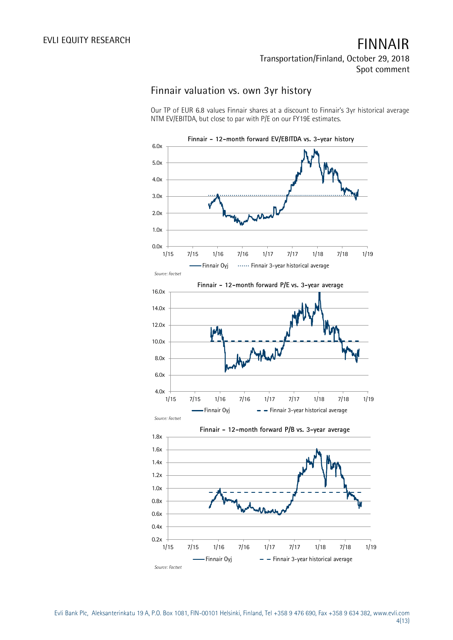### **Finnair valuation vs. own 3yr history**

Our TP of EUR 6.8 values Finnair shares at a discount to Finnair's 3yr historical average NTM EV/EBITDA, but close to par with P/E on our FY19E estimates.

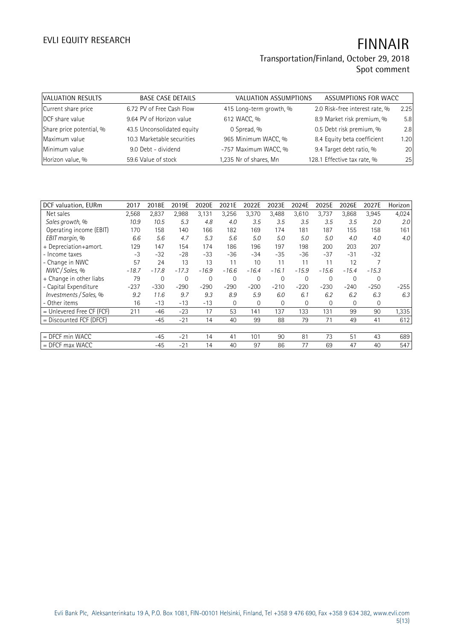### **Transportation/Finland, October 29, 2018 Spot comment**

| VALUATION RESULTS        | <b>BASE CASE DETAILS</b>   | VALUATION ASSUMPTIONS   | ASSUMPTIONS FOR WACC           |      |
|--------------------------|----------------------------|-------------------------|--------------------------------|------|
| Current share price      | 6.72 PV of Free Cash Flow  | 415 Long-term growth, % | 2.0 Risk-free interest rate, % | 2.25 |
| DCF share value          | 9.64 PV of Horizon value   | 612 WACC, %             | 8.9 Market risk premium, %     | 5.8  |
| Share price potential, % | 43.5 Unconsolidated equity | 0 Spread, %             | 0.5 Debt risk premium, %       | 2.8  |
| Maximum value            | 10.3 Marketable securities | 965 Minimum WACC, %     | 8.4 Equity beta coefficient    | 1.20 |
| Minimum value            | 9.0 Debt - dividend        | -757 Maximum WACC, %    | 9.4 Target debt ratio, %       | 20   |
| Horizon value, %         | 59.6 Value of stock        | 1,235 Nr of shares, Mn  | 128.1 Effective tax rate, %    | 25   |

| DCF valuation, EURm       | 2017    | 2018E       | 2019E       | 2020E   | 2021E          | 2022E       | 2023E        | 2024E    | 2025E        | 2026E    | 2027E       | Horizon |
|---------------------------|---------|-------------|-------------|---------|----------------|-------------|--------------|----------|--------------|----------|-------------|---------|
| Net sales                 | 2,568   | 2,837       | 2,988       | 3,131   | 3,256          | 3,370       | 3,488        | 3,610    | 3,737        | 3,868    | 3,945       | 4,024   |
| Sales growth, %           | 10.9    | 10.5        | 5.3         | 4.8     | 4.0            | 3.5         | 3.5          | 3.5      | 3.5          | 3.5      | 2.0         | 2.0     |
| Operating income (EBIT)   | 170     | 158         | 140         | 166     | 182            | 169         | 174          | 181      | 187          | 155      | 158         | 161     |
| EBIT margin, %            | 6.6     | 5.6         | 4.7         | 5.3     | 5.6            | 5.0         | 5.0          | 5.0      | 5.0          | 4.0      | 4.0         | 4.0     |
| + Depreciation+amort.     | 129     | 147         | 154         | 174     | 186            | 196         | 197          | 198      | 200          | 203      | 207         |         |
| - Income taxes            | -3      | $-32$       | $-28$       | $-33$   | $-36$          | $-34$       | $-35$        | $-36$    | $-37$        | $-31$    | $-32$       |         |
| - Change in NWC           | 57      | 24          | 13          | 13      | 11             | 10          | 11           | 11       | 11           | 12       |             |         |
| NWC / Sales, %            | $-18.7$ | $-17.8$     | $-17.3$     | $-16.9$ | $-16.6$        | $-16.4$     | $-16.1$      | $-15.9$  | $-15.6$      | $-15.4$  | $-15.3$     |         |
| + Change in other liabs   | 79      | $\mathbf 0$ | $\mathbf 0$ | 0       | $\overline{0}$ | $\mathbf 0$ | $\mathbf{0}$ | 0        | $\mathbf{0}$ | 0        | $\mathbf 0$ |         |
| - Capital Expenditure     | $-237$  | $-330$      | $-290$      | $-290$  | $-290$         | $-200$      | $-210$       | $-220$   | $-230$       | $-240$   | $-250$      | $-255$  |
| Investments / Sales, %    | 9.2     | 11.6        | 9.7         | 9.3     | 8.9            | 5.9         | 6.0          | 6.1      | 6.2          | 6.2      | 6.3         | 6.3     |
| - Other items             | 16      | $-13$       | $-13$       | $-13$   | $\Omega$       | $\Omega$    | $\mathbf{0}$ | $\Omega$ | $\Omega$     | $\Omega$ | $\mathbf 0$ |         |
| = Unlevered Free CF (FCF) | 211     | $-46$       | $-23$       | 17      | 53             | 141         | 137          | 133      | 131          | 99       | 90          | 1,335   |
| $=$ Discounted FCF (DFCF) |         | $-45$       | $-21$       | 14      | 40             | 99          | 88           | 79       | 71           | 49       | 41          | 612     |
|                           |         |             |             |         |                |             |              |          |              |          |             |         |
| = DFCF min WACC           |         | $-45$       | $-21$       | 14      | 41             | 101         | 90           | 81       | 73           | 51       | 43          | 689     |
| $=$ DFCF max WACC         |         | $-45$       | $-21$       | 14      | 40             | 97          | 86           | 77       | 69           | 47       | 40          | 547     |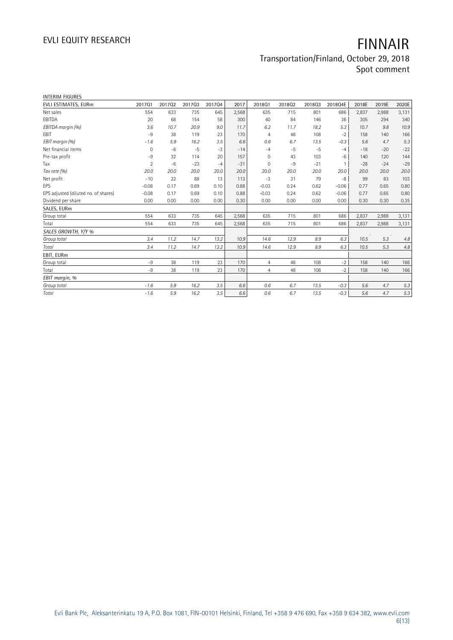### **Transportation/Finland, October 29, 2018 Spot comment**

| <b>INTERIM FIGURES</b>               |                |        |        |        |       |                |        |        |         |       |       |       |
|--------------------------------------|----------------|--------|--------|--------|-------|----------------|--------|--------|---------|-------|-------|-------|
| EVLI ESTIMATES, EURm                 | 201701         | 201702 | 201703 | 201704 | 2017  | 201801         | 201802 | 201803 | 2018Q4E | 2018E | 2019E | 2020E |
| Net sales                            | 554            | 633    | 735    | 645    | 2,568 | 635            | 715    | 801    | 686     | 2,837 | 2,988 | 3,131 |
| EBITDA                               | 20             | 68     | 154    | 58     | 300   | 40             | 84     | 146    | 36      | 305   | 294   | 340   |
| EBITDA margin (%)                    | 3.6            | 10.7   | 20.9   | 9.0    | 11.7  | 6.2            | 11.7   | 18.2   | 5.3     | 10.7  | 9.8   | 10.9  |
| <b>EBIT</b>                          | $-9$           | 38     | 119    | 23     | 170   | $\overline{4}$ | 48     | 108    | $-2$    | 158   | 140   | 166   |
| EBIT margin (%)                      | $-1.6$         | 5.9    | 16.2   | 3.5    | 6.6   | 0.6            | 6.7    | 13.5   | $-0.3$  | 5.6   | 4.7   | 5.3   |
| Net financial items                  | 0              | $-6$   | $-5$   | $-3$   | $-14$ | $-4$           | $-5$   | $-5$   | $-4$    | $-18$ | $-20$ | $-22$ |
| Pre-tax profit                       | -9             | 32     | 114    | 20     | 157   | 0              | 43     | 103    | $-6$    | 140   | 120   | 144   |
| Tax                                  | $\overline{2}$ | $-6$   | $-23$  | $-4$   | $-31$ | 0              | $-9$   | $-21$  |         | $-28$ | $-24$ | $-29$ |
| Tax rate (%)                         | 20.0           | 20.0   | 20.0   | 20.0   | 20.0  | 20.0           | 20.0   | 20.0   | 20.0    | 20.0  | 20.0  | 20.0  |
| Net profit                           | $-10$          | 22     | 88     | 13     | 113   | $-3$           | 31     | 79     | $-8$    | 99    | 83    | 103   |
| EPS                                  | $-0.08$        | 0.17   | 0.69   | 0.10   | 0.88  | $-0.03$        | 0.24   | 0.62   | $-0.06$ | 0.77  | 0.65  | 0.80  |
| EPS adjusted (diluted no. of shares) | $-0.08$        | 0.17   | 0.69   | 0.10   | 0.88  | $-0.03$        | 0.24   | 0.62   | $-0.06$ | 0.77  | 0.65  | 0.80  |
| Dividend per share                   | 0.00           | 0.00   | 0.00   | 0.00   | 0.30  | 0.00           | 0.00   | 0.00   | 0.00    | 0.30  | 0.30  | 0.35  |
| SALES, EURm                          |                |        |        |        |       |                |        |        |         |       |       |       |
| Group total                          | 554            | 633    | 735    | 645    | 2,568 | 635            | 715    | 801    | 686     | 2,837 | 2,988 | 3,131 |
| Total                                | 554            | 633    | 735    | 645    | 2,568 | 635            | 715    | 801    | 686     | 2,837 | 2,988 | 3,131 |
| SALES GROWTH, Y/Y %                  |                |        |        |        |       |                |        |        |         |       |       |       |
| Group total                          | 3.4            | 11.2   | 14.7   | 13.2   | 10.9  | 14.6           | 12.9   | 8.9    | 6.3     | 10.5  | 5.3   | 4.8   |
| Total                                | 3.4            | 11.2   | 14.7   | 13.2   | 10.9  | 14.6           | 12.9   | 8.9    | 6.3     | 10.5  | 5.3   | 4.8   |
| EBIT, EURm                           |                |        |        |        |       |                |        |        |         |       |       |       |
| Group total                          | $-9$           | 38     | 119    | 23     | 170   | $\overline{4}$ | 48     | 108    | $-2$    | 158   | 140   | 166   |
| Total                                | $-9$           | 38     | 119    | 23     | 170   | $\overline{4}$ | 48     | 108    | $-2$    | 158   | 140   | 166   |
| EBIT margin, %                       |                |        |        |        |       |                |        |        |         |       |       |       |
| Group total                          | $-1.6$         | 5.9    | 16.2   | 3.5    | 6.6   | 0.6            | 6.7    | 13.5   | $-0.3$  | 5.6   | 4.7   | 5.3   |
| Total                                | $-1.6$         | 5.9    | 16.2   | 3.5    | 6.6   | 0.6            | 6.7    | 13.5   | $-0.3$  | 5.6   | 4.7   | 5.3   |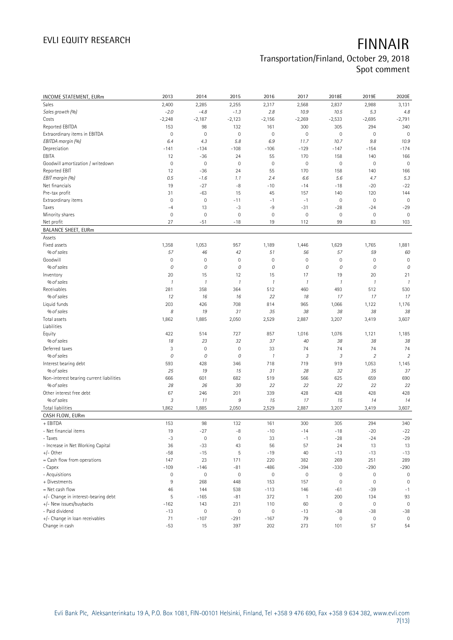### **Transportation/Finland, October 29, 2018 Spot comment**

**INCOME STATEMENT, EURm 2013 2014 2015 2016 2017 2018E 2019E 2020E** Sales 2,400 2,285 2,255 2,317 2,568 2,837 2,988 3,131 *Sales growth (%) -2.0 -4.8 -1.3 2.8 10.9 10.5 5.3 4.8* Costs -2,248 -2,187 -2,123 -2,156 -2,269 -2,533 -2,695 -2,791 Reported EBITDA 153 98 132 161 300 305 294 340 Extraordinary items in EBITDA 0 0 0 0 0 0 0 0 *EBITDA margin (%) 6.4 4.3 5.8 6.9 11.7 10.7 9.8 10.9* Depreciation -141 -134 -108 -106 -129 -147 -154 -174 EBITA 12 -36 24 55 170 158 140 166 Goodwill amortization / writedown 0 0 0 0 0 0 0 0 Reported EBIT 12 -36 24 55 170 158 140 166 *EBIT margin (%) 0.5 -1.6 1.1 2.4 6.6 5.6 4.7 5.3* Net financials 19 -27 -8 -10 -14 -18 -20 -22 Pre-tax profit 120 10 11 144 15 15 15 15 15 157 1140 120 144 Extraordinary items 0 0 -11 -1 -1 0 0 0 Taxes -4 -4 13 -3 -9 -31 -28 -24 -29 Minority shares 0 0 0 0 0 0 0 0 Net profit 27 -51 -18 19 112 99 83 103 **BALANCE SHEET, EURm**  Assets Fixed assets 1,358 1,053 957 1,189 1,446 1,629 1,765 1,881  *% of sales 57 46 42 51 56 57 59 60* Goodwill 0 0 0 0 0 0 0 0  *% of sales 0 0 0 0 0 0 0 0* Inventory 20 20 15 12 15 17 19 20 21  *% of sales 1 1 1 1 1 1 1 1* Receivables 281 358 364 512 460 493 512 530  *% of sales 12 16 16 22 18 17 17 17* Liquid funds 203 426 708 814 965 1,066 1,122 1,176  *% of sales 8 19 31 35 38 38 38 38* Total assets 1,862 1,885 2,050 2,529 2,887 3,207 3,419 3,607 Liabilities Equity 422 514 727 857 1,016 1,076 1,121 1,185  *% of sales 18 23 32 37 40 38 38 38* Deferred taxes 3 0 0 33 74 74 74 74  *% of sales 0 0 0 1 3 3 2 2* Interest bearing debt 593 428 346 718 719 919 1,053 1,145  *% of sales 25 19 15 31 28 32 35 37* Non-interest bearing current liabilities 690 666 601 682 519 566 625 659 690  *% of sales 28 26 30 22 22 22 22 22* Other interest free debt 67 246 201 339 428 428 428 428  *% of sales 3 11 9 15 17 15 14 14* Total liabilities 1,862 1,885 2,050 2,529 2,887 3,207 3,419 3,607 **CASH FLOW, EURm**  + EBITDA 153 98 132 161 300 305 294 340 - Net financial items 19 -27 -8 -10 -14 -18 -20 -22 - Taxes -3 -3 0 0 33 -1 -28 -24 -29 - Increase in Net Working Capital 13 13 36 -33 43 56 57 24 13 13 +/- Other -58 -15 5 -19 40 -13 -13 -13 = Cash flow from operations 147 23 171 220 382 269 251 289 - Capex -109 -146 -81 -486 -394 -330 -290 -290 - Acquisitions 0 0 0 0 0 0 0 0 + Divestments 9 268 448 153 157 0 0 0 = Net cash flow 46 144 538 -113 146 -61 -39 -1 +/- Change in interest-bearing debt 5 -165 -81 372 1 200 134 93 +/- New issues/buybacks -162 143 231 110 60 0 0 0 - Paid dividend -13 0 0 0 -13 -38 -38 -38 +/- Change in loan receivables 71 -107 -291 -167 79 0 0 0 Change in cash -53 15 397 202 273 101 57 54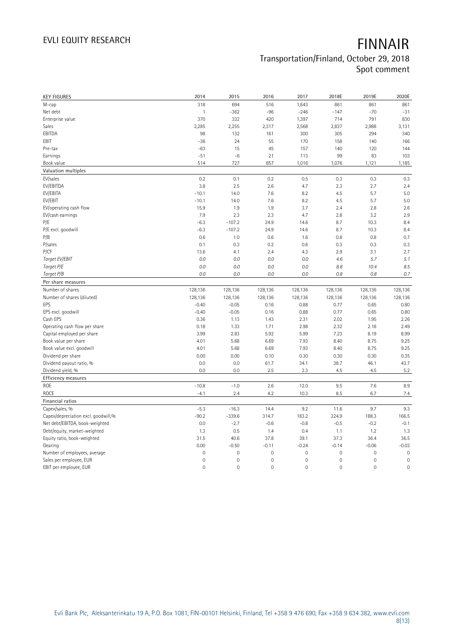### **Transportation/Finland, October 29, 2018 Spot comment**

| <b>KEY FIGURES</b>                                 | 2014                | 2015               | 2016         | 2017                | 2018E               | 2019E        | 2020E               |
|----------------------------------------------------|---------------------|--------------------|--------------|---------------------|---------------------|--------------|---------------------|
| M-cap                                              | 318                 | 694                | 516          | 1,643               | 861                 | 861          | 861                 |
| Net debt                                           | $\mathbf{1}$        | $-362$             | $-96$        | $-246$              | $-147$              | $-70$        | $-31$               |
| Enterprise value                                   | 370                 | 332                | 420          | 1,397               | 714                 | 791          | 830                 |
| Sales                                              | 2,285               | 2,255              | 2,317        | 2,568               | 2,837               | 2,988        | 3,131               |
| EBITDA                                             | 98                  | 132                | 161          | 300                 | 305                 | 294          | 340                 |
| EBIT                                               | $-36$               | 24                 | 55           | 170                 | 158                 | 140          | 166                 |
| Pre-tax                                            | $-63$               | 15                 | 45           | 157                 | 140                 | 120          | 144                 |
| Earnings                                           | $-51$               | $-6$               | 21           | 113                 | 99                  | 83           | 103                 |
| Book value                                         | 514                 | 727                | 857          | 1,016               | 1,076               | 1,121        | 1,185               |
| Valuation multiples                                |                     |                    |              |                     |                     |              |                     |
| EV/sales                                           | 0.2                 | 0.1                | 0.2          | 0.5                 | 0.3                 | 0.3          | 0.3                 |
| EV/EBITDA                                          | 3.8                 | 2.5                | 2.6          | 4.7                 | 2.3                 | 2.7          | 2.4                 |
| EV/EBITA                                           | $-10.1$             | 14.0               | 7.6          | 8.2                 | 4.5                 | 5.7          | 5.0                 |
| EV/EBIT                                            | $-10.1$             | 14.0               | 7.6          | 8.2                 | 4.5                 | 5.7          | 5.0                 |
| EV/operating cash flow                             | 15.9                | 1.9                | 1.9          | 3.7                 | 2.4                 | 2.8          | 2.6                 |
| EV/cash earnings                                   | 7.9                 | 2.3                | 2.3          | 4.7                 | 2.8                 | 3.2          | 2.9                 |
| P/E                                                | $-6.3$              | $-107.2$           | 24.9         | 14.6                | 8.7                 | 10.3         | 8.4                 |
| P/E excl. goodwill                                 | $-6.3$              | $-107.2$           | 24.9         | 14.6                | 8.7                 | 10.3         | 8.4                 |
| P/B                                                | 0.6                 | 1.0                | 0.6          | 1.6                 | 0.8                 | 0.8          | 0.7                 |
| P/sales                                            | 0.1                 | 0.3                | 0.2          | 0.6                 | 0.3                 | 0.3          | 0.3                 |
| P/CF                                               | 13.6                | 4.1                | 2.4          | 4.3                 | 2.9                 | 3.1          | 2.7                 |
| Target EV/EBIT                                     | 0.0                 | 0.0                | $0.0\,$      | 0.0                 | 4.6                 | 5.7          | 5.1                 |
| Target P/E                                         | 0.0                 | 0.0                | 0.0          | 0.0                 | 8.8                 | 10.4         | 8.5                 |
| Target P/B                                         | 0.0                 | 0.0                | $0.0\,$      | 0.0                 | 0.8                 | 0.8          | 0.7                 |
| Per share measures                                 |                     |                    |              |                     |                     |              |                     |
|                                                    |                     |                    |              |                     |                     |              |                     |
| Number of shares                                   |                     |                    |              |                     |                     |              |                     |
|                                                    | 128,136             | 128,136            | 128,136      | 128,136             | 128,136             | 128,136      | 128,136             |
| Number of shares (diluted)<br>EPS                  | 128,136<br>$-0.40$  | 128,136            | 128,136      | 128,136             | 128,136             | 128,136      | 128,136             |
|                                                    | $-0.40$             | $-0.05$<br>$-0.05$ | 0.16<br>0.16 | 0.88<br>0.88        | 0.77<br>0.77        | 0.65<br>0.65 | 0.80<br>0.80        |
| EPS excl. goodwill<br>Cash EPS                     | 0.36                | 1.13               | 1.43         | 2.31                | 2.02                | 1.95         | 2.26                |
|                                                    | 0.18                | 1.33               | 1.71         | 2.98                | 2.32                | 2.18         | 2.49                |
| Operating cash flow per share                      | 3.99                | 2.83               | 5.92         | 5.99                | 7.23                | 8.19         | 8.99                |
| Capital employed per share<br>Book value per share | 4.01                | 5.68               | 6.69         | 7.93                | 8.40                | 8.75         | 9.25                |
| Book value excl. goodwill                          | 4.01                | 5.68               | 6.69         | 7.93                | 8.40                | 8.75         | 9.25                |
| Dividend per share                                 | 0.00                | 0.00               | 0.10         | 0.30                | 0.30                | 0.30         | 0.35                |
| Dividend payout ratio, %                           | 0.0                 | 0.0                | 61.7         | 34.1                | 38.7                | 46.1         | 43.7                |
| Dividend yield, %                                  | 0.0                 | 0.0                | 2.5          | 2.3                 | 4.5                 | 4.5          | 5.2                 |
| <b>Efficiency measures</b>                         |                     |                    |              |                     |                     |              |                     |
| ROE                                                | $-10.8$             | $-1.0$             | 2.6          | 12.0                | 9.5                 | 7.6          | 8.9                 |
| <b>ROCE</b>                                        | $-4.1$              | 2.4                | 4.2          | 10.3                | 8.5                 | 6.7          | 7.4                 |
| Financial ratios                                   |                     |                    |              |                     |                     |              |                     |
| Capex/sales, %                                     | $-5.3$              | $-16.3$            | 14.4         | 9.2                 | 11.6                | 9.7          | 9.3                 |
| Capex/depreciation excl. goodwill,%                | $-90.2$             | $-339.6$           | 314.7        | 183.2               | 224.9               | 188.3        | 166.5               |
| Net debt/EBITDA, book-weighted                     | 0.0                 | $-2.7$             | $-0.6$       | $-0.8$              | $-0.5$              | $-0.2$       | $-0.1$              |
| Debt/equity, market-weighted                       | 1.3                 | 0.5                | 1.4          | 0.4                 | 1.1                 | 1.2          | 1.3                 |
| Equity ratio, book-weighted                        | 31.5                | 40.6               | 37.8         | 39.1                | 37.3                | 36.4         | 36.5                |
| Gearing                                            | 0.00                | $-0.50$            | $-0.11$      | $-0.24$             | $-0.14$             | $-0.06$      | $-0.03$             |
| Number of employees, average                       | $\mathsf{O}\xspace$ | $\mathbf 0$        | $\mathbf 0$  | $\mathsf{O}\xspace$ | $\mathsf{O}\xspace$ | 0            | $\mathbf 0$         |
| Sales per employee, EUR                            | $\mathsf{O}\xspace$ | $\mathbf 0$        | $\mathbf 0$  | 0                   | $\mathbb O$         | 0            | $\mathsf{O}\xspace$ |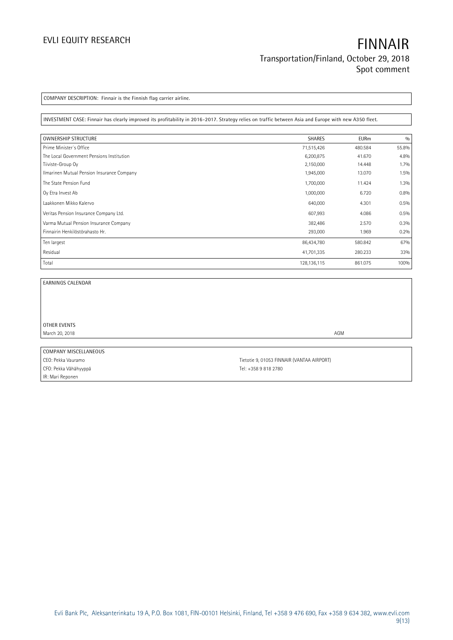**COMPANY DESCRIPTION: Finnair is the Finnish flag carrier airline.**

**INVESTMENT CASE: Finnair has clearly improved its profitability in 2016-2017. Strategy relies on traffic between Asia and Europe with new A350 fleet.**

| <b>OWNERSHIP STRUCTURE</b>                 | <b>SHARES</b> | <b>EURm</b> | 0/0     |
|--------------------------------------------|---------------|-------------|---------|
| Prime Minister's Office                    | 71,515,426    | 480.584     | 55.8%   |
| The Local Government Pensions Institution  | 6,200,875     | 41.670      | 4.8%    |
| Tiiviste-Group Oy                          | 2,150,000     | 14.448      | $1.7\%$ |
| Ilmarinen Mutual Pension Insurance Company | 1,945,000     | 13.070      | 1.5%    |
| The State Pension Fund                     | 1,700,000     | 11.424      | 1.3%    |
| Oy Etra Invest Ab                          | 1,000,000     | 6.720       | 0.8%    |
| Laakkonen Mikko Kalervo                    | 640,000       | 4.301       | 0.5%    |
| Veritas Pension Insurance Company Ltd.     | 607,993       | 4.086       | 0.5%    |
| Varma Mutual Pension Insurance Company     | 382,486       | 2.570       | 0.3%    |
| Finnairin Henkilöstörahasto Hr.            | 293,000       | 1.969       | 0.2%    |
| Ten largest                                | 86,434,780    | 580.842     | 67%     |
| Residual                                   | 41,701,335    | 280.233     | 33%     |
| Total                                      | 128, 136, 115 | 861.075     | 100%    |

i.

**EARNINGS CALENDAR**

**OTHER EVENTS** March 20, 2018 **AGM** 

**COMPANY MISCELLANEOUS** CFO: Pekka Vähähyyppä CFO: Pekka Vähähyyppä IR: Mari Reponen

CEO: Pekka Vauramo **Tietotie 9, 01053 FINNAIR (VANTAA AIRPORT**)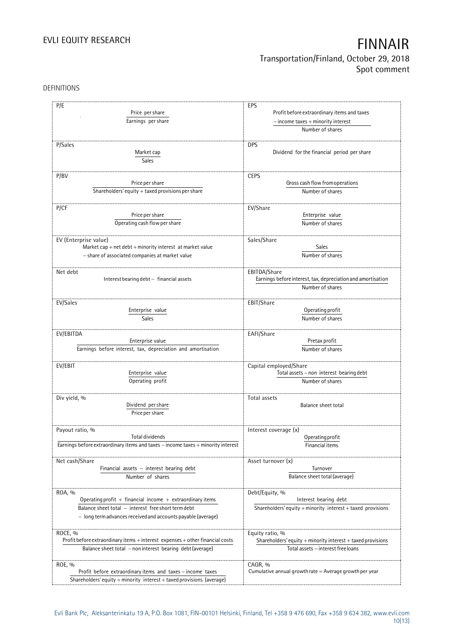### DEFINITIONS

| P/E<br>Price per share<br>Earnings per share                                             | EPS<br>Profit before extraordinary items and taxes                               |
|------------------------------------------------------------------------------------------|----------------------------------------------------------------------------------|
|                                                                                          | $-$ income taxes $+$ minority interest<br>Number of shares                       |
|                                                                                          |                                                                                  |
| P/Sales<br>Market cap<br><b>Sales</b>                                                    | <b>DPS</b><br>Dividend for the financial period per share                        |
| P/BV                                                                                     | <b>CEPS</b>                                                                      |
| Price per share                                                                          | Gross cash flow from operations                                                  |
| Shareholders' equity $+$ taxed provisions per share                                      | Number of shares                                                                 |
|                                                                                          |                                                                                  |
| P/CF                                                                                     | EV/Share                                                                         |
| Price per share                                                                          | Enterprise value                                                                 |
| Operating cash flow per share                                                            | Number of shares                                                                 |
|                                                                                          |                                                                                  |
| EV (Enterprise value)                                                                    | Sales/Share                                                                      |
| Market cap + net debt + minority interest at market value                                | <b>Sales</b>                                                                     |
| - share of associated companies at market value                                          | Number of shares                                                                 |
|                                                                                          |                                                                                  |
| Net debt<br>Interest bearing debt - financial assets                                     | EBITDA/Share                                                                     |
|                                                                                          | Earnings before interest, tax, depreciation and amortisation<br>Number of shares |
|                                                                                          |                                                                                  |
| EV/Sales                                                                                 | EBIT/Share                                                                       |
| Enterprise value                                                                         | Operating profit                                                                 |
| Sales                                                                                    | Number of shares                                                                 |
|                                                                                          |                                                                                  |
| EV/EBITDA                                                                                | EAFI/Share                                                                       |
| Enterprise value                                                                         | Pretax profit                                                                    |
| Earnings before interest, tax, depreciation and amortisation                             | Number of shares                                                                 |
| EV/EBIT                                                                                  | Capital employed/Share                                                           |
| Enterprise value                                                                         | Total assets - non interest bearing debt                                         |
| Operating profit                                                                         | Number of shares                                                                 |
|                                                                                          |                                                                                  |
| Div yield, %                                                                             | Total assets                                                                     |
| Dividend per share                                                                       | <b>Balance sheet total</b>                                                       |
| Price per share                                                                          |                                                                                  |
|                                                                                          |                                                                                  |
| Payout ratio, %<br>Total dividends                                                       | Interest coverage (x)                                                            |
| Earnings before extraordinary items and taxes - income taxes + minority interest         | Operating profit<br>Financial items                                              |
|                                                                                          |                                                                                  |
| Net cash/Share                                                                           | Asset turnover (x)                                                               |
| Financial assets $-$ interest bearing debt                                               | Turnover                                                                         |
| Number of shares                                                                         | Balance sheet total (average)                                                    |
|                                                                                          |                                                                                  |
| ROA, %                                                                                   | Debt/Equity, %                                                                   |
| Operating profit + financial income + extraordinary items                                | Interest bearing debt                                                            |
| Balance sheet total - interest free short term debt                                      | Shareholders' equity + minority interest + taxed provisions                      |
| - long term advances received and accounts payable (average)                             |                                                                                  |
|                                                                                          |                                                                                  |
| ROCE, %<br>Profit before extraordinary items + interest expenses + other financial costs | Equity ratio, %<br>Shareholders' equity + minority interest + taxed provisions   |
| Balance sheet total - non interest bearing debt (average)                                | Total assets - interest free loans                                               |
|                                                                                          |                                                                                  |
| ROE, %                                                                                   | CAGR, %                                                                          |
| Profit before extraordinary items and taxes - income taxes                               | Cumulative annual growth rate $=$ Average growth per year                        |
| Shareholders' equity + minority interest + taxed provisions (average)                    |                                                                                  |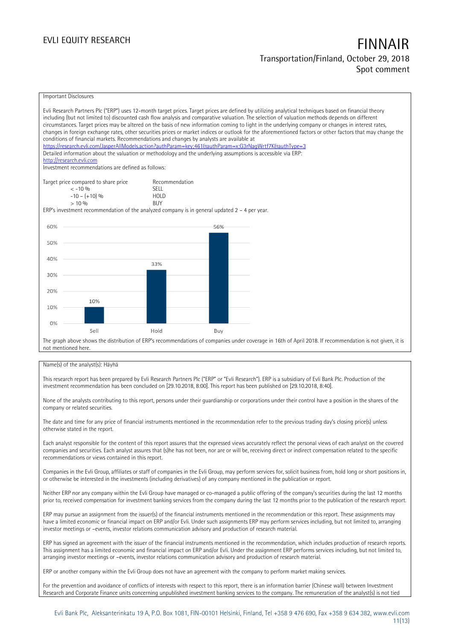#### Important Disclosures Evli Research Partners Plc ("ERP") uses 12-month target prices. Target prices are defined by utilizing analytical techniques based on financial theory including (but not limited to) discounted cash flow analysis and comparative valuation. The selection of valuation methods depends on different circumstances. Target prices may be altered on the basis of new information coming to light in the underlying company or changes in interest rates, changes in foreign exchange rates, other securities prices or market indices or outlook for the aforementioned factors or other factors that may change the conditions of financial markets. Recommendations and changes by analysts are available at https://research.evli.com/JasperAllModels.action?authParam=key;461&tauthParam=x;G3rNagWrtf7K&tauthType=3 Detailed information about the valuation or methodology and the underlying assumptions is accessible via ERP: [http://research.evli.com](http://research.evli.com/) Investment recommendations are defined as follows: Target price compared to share price Recommendation<br>  $\leq -10\%$ < -10 % SELL  $-10 - (+10) \%$  HOL<br> $> 10 \%$  RIIY  $> 10\%$ ERP's investment recommendation of the analyzed company is in general updated 2 – 4 per year. 60% 56% 50% 40%  $33%$ 30% 20% 10% 10%  $0%$ Hold Sel Buy The graph above shows the distribution of ERP's recommendations of companies under coverage in 16th of April 2018. If recommendation is not given, it is not mentioned here.

#### Name(s) of the analyst(s): Häyhä

This research report has been prepared by Evli Research Partners Plc ("ERP" or "Evli Research"). ERP is a subsidiary of Evli Bank Plc. Production of the investment recommendation has been concluded on [29.10.2018, 8:00]. This report has been published on [29.10.2018, 8:40].

None of the analysts contributing to this report, persons under their guardianship or corporations under their control have a position in the shares of the company or related securities.

The date and time for any price of financial instruments mentioned in the recommendation refer to the previous trading day's closing price(s) unless otherwise stated in the report.

Each analyst responsible for the content of this report assures that the expressed views accurately reflect the personal views of each analyst on the covered companies and securities. Each analyst assures that (s)he has not been, nor are or will be, receiving direct or indirect compensation related to the specific recommendations or views contained in this report.

Companies in the Evli Group, affiliates or staff of companies in the Evli Group, may perform services for, solicit business from, hold long or short positions in, or otherwise be interested in the investments (including derivatives) of any company mentioned in the publication or report.

Neither ERP nor any company within the Evli Group have managed or co-managed a public offering of the company's securities during the last 12 months prior to, received compensation for investment banking services from the company during the last 12 months prior to the publication of the research report.

ERP may pursue an assignment from the issuer(s) of the financial instruments mentioned in the recommendation or this report. These assignments may have a limited economic or financial impact on ERP and/or Evli. Under such assignments ERP may perform services including, but not limited to, arranging investor meetings or –events, investor relations communication advisory and production of research material.

ERP has signed an agreement with the issuer of the financial instruments mentioned in the recommendation, which includes production of research reports. This assignment has a limited economic and financial impact on ERP and/or Evli. Under the assignment ERP performs services including, but not limited to, arranging investor meetings or –events, investor relations communication advisory and production of research material.

ERP or another company within the Evli Group does not have an agreement with the company to perform market making services.

For the prevention and avoidance of conflicts of interests with respect to this report, there is an information barrier (Chinese wall) between Investment Research and Corporate Finance units concerning unpublished investment banking services to the company. The remuneration of the analyst(s) is not tied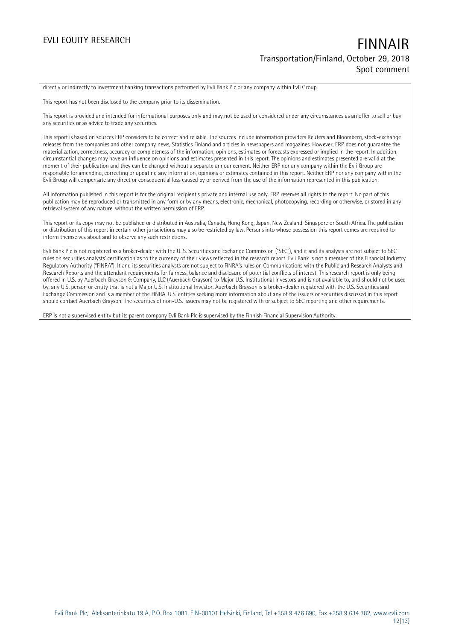directly or indirectly to investment banking transactions performed by Evli Bank Plc or any company within Evli Group.

This report has not been disclosed to the company prior to its dissemination.

This report is provided and intended for informational purposes only and may not be used or considered under any circumstances as an offer to sell or buy any securities or as advice to trade any securities.

This report is based on sources ERP considers to be correct and reliable. The sources include information providers Reuters and Bloomberg, stock-exchange releases from the companies and other company news, Statistics Finland and articles in newspapers and magazines. However, ERP does not guarantee the materialization, correctness, accuracy or completeness of the information, opinions, estimates or forecasts expressed or implied in the report. In addition, circumstantial changes may have an influence on opinions and estimates presented in this report. The opinions and estimates presented are valid at the moment of their publication and they can be changed without a separate announcement. Neither ERP nor any company within the Evli Group are responsible for amending, correcting or updating any information, opinions or estimates contained in this report. Neither ERP nor any company within the Evli Group will compensate any direct or consequential loss caused by or derived from the use of the information represented in this publication.

All information published in this report is for the original recipient's private and internal use only. ERP reserves all rights to the report. No part of this publication may be reproduced or transmitted in any form or by any means, electronic, mechanical, photocopying, recording or otherwise, or stored in any retrieval system of any nature, without the written permission of ERP.

This report or its copy may not be published or distributed in Australia, Canada, Hong Kong, Japan, New Zealand, Singapore or South Africa. The publication or distribution of this report in certain other jurisdictions may also be restricted by law. Persons into whose possession this report comes are required to inform themselves about and to observe any such restrictions.

Evli Bank Plc is not registered as a broker-dealer with the U. S. Securities and Exchange Commission ("SEC"), and it and its analysts are not subject to SEC rules on securities analysts' certification as to the currency of their views reflected in the research report. Evli Bank is not a member of the Financial Industry Regulatory Authority ("FINRA"). It and its securities analysts are not subject to FINRA's rules on Communications with the Public and Research Analysts and Research Reports and the attendant requirements for fairness, balance and disclosure of potential conflicts of interest. This research report is only being offered in U.S. by Auerbach Grayson & Company, LLC (Auerbach Grayson) to Major U.S. Institutional Investors and is not available to, and should not be used by, any U.S. person or entity that is not a Major U.S. Institutional Investor. Auerbach Grayson is a broker-dealer registered with the U.S. Securities and Exchange Commission and is a member of the FINRA. U.S. entities seeking more information about any of the issuers or securities discussed in this report should contact Auerbach Grayson. The securities of non-U.S. issuers may not be registered with or subject to SEC reporting and other requirements.

ERP is not a supervised entity but its parent company Evli Bank Plc is supervised by the Finnish Financial Supervision Authority.